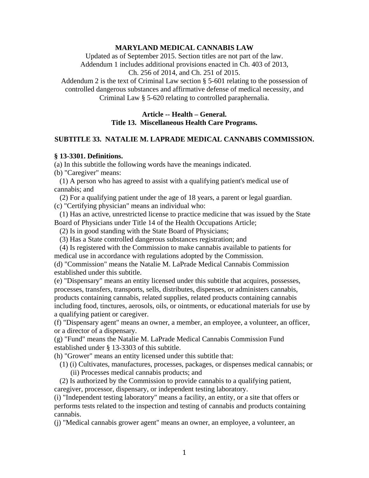#### **MARYLAND MEDICAL CANNABIS LAW**

Updated as of September 2015. Section titles are not part of the law. Addendum 1 includes additional provisions enacted in Ch. 403 of 2013, Ch. 256 of 2014, and Ch. 251 of 2015.

Addendum 2 is the text of Criminal Law section § 5-601 relating to the possession of controlled dangerous substances and affirmative defense of medical necessity, and Criminal Law § 5-620 relating to controlled paraphernalia.

#### **Article -- Health – General. Title 13. Miscellaneous Health Care Programs.**

### **SUBTITLE 33. NATALIE M. LAPRADE MEDICAL CANNABIS COMMISSION.**

#### **§ 13-3301. Definitions.**

(a) In this subtitle the following words have the meanings indicated.

(b) "Caregiver" means:

 (1) A person who has agreed to assist with a qualifying patient's medical use of cannabis; and

 (2) For a qualifying patient under the age of 18 years, a parent or legal guardian. (c) "Certifying physician" means an individual who:

 (1) Has an active, unrestricted license to practice medicine that was issued by the State Board of Physicians under Title 14 of the Health Occupations Article;

(2) Is in good standing with the State Board of Physicians;

(3) Has a State controlled dangerous substances registration; and

 (4) Is registered with the Commission to make cannabis available to patients for medical use in accordance with regulations adopted by the Commission.

(d) "Commission" means the Natalie M. LaPrade Medical Cannabis Commission established under this subtitle.

(e) "Dispensary" means an entity licensed under this subtitle that acquires, possesses, processes, transfers, transports, sells, distributes, dispenses, or administers cannabis, products containing cannabis, related supplies, related products containing cannabis including food, tinctures, aerosols, oils, or ointments, or educational materials for use by a qualifying patient or caregiver.

(f) "Dispensary agent" means an owner, a member, an employee, a volunteer, an officer, or a director of a dispensary.

(g) "Fund" means the Natalie M. LaPrade Medical Cannabis Commission Fund established under § 13-3303 of this subtitle.

(h) "Grower" means an entity licensed under this subtitle that:

 (1) (i) Cultivates, manufactures, processes, packages, or dispenses medical cannabis; or (ii) Processes medical cannabis products; and

 (2) Is authorized by the Commission to provide cannabis to a qualifying patient, caregiver, processor, dispensary, or independent testing laboratory.

(i) "Independent testing laboratory" means a facility, an entity, or a site that offers or performs tests related to the inspection and testing of cannabis and products containing cannabis.

(j) "Medical cannabis grower agent" means an owner, an employee, a volunteer, an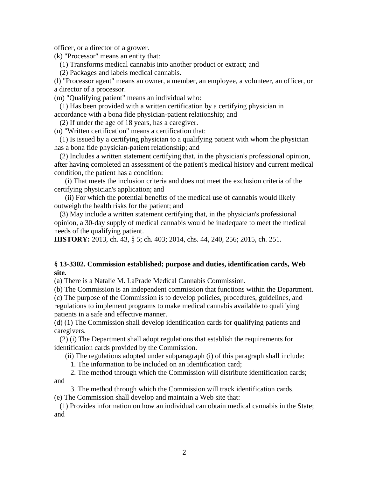officer, or a director of a grower.

(k) "Processor" means an entity that:

(1) Transforms medical cannabis into another product or extract; and

(2) Packages and labels medical cannabis.

(l) "Processor agent" means an owner, a member, an employee, a volunteer, an officer, or a director of a processor.

(m) "Qualifying patient" means an individual who:

 (1) Has been provided with a written certification by a certifying physician in accordance with a bona fide physician-patient relationship; and

(2) If under the age of 18 years, has a caregiver.

(n) "Written certification" means a certification that:

 (1) Is issued by a certifying physician to a qualifying patient with whom the physician has a bona fide physician-patient relationship; and

 (2) Includes a written statement certifying that, in the physician's professional opinion, after having completed an assessment of the patient's medical history and current medical condition, the patient has a condition:

 (i) That meets the inclusion criteria and does not meet the exclusion criteria of the certifying physician's application; and

 (ii) For which the potential benefits of the medical use of cannabis would likely outweigh the health risks for the patient; and

 (3) May include a written statement certifying that, in the physician's professional opinion, a 30-day supply of medical cannabis would be inadequate to meet the medical needs of the qualifying patient.

**HISTORY:** 2013, ch. 43, § 5; ch. 403; 2014, chs. 44, 240, 256; 2015, ch. 251.

#### **§ 13-3302. Commission established; purpose and duties, identification cards, Web site.**

(a) There is a Natalie M. LaPrade Medical Cannabis Commission.

(b) The Commission is an independent commission that functions within the Department.

(c) The purpose of the Commission is to develop policies, procedures, guidelines, and regulations to implement programs to make medical cannabis available to qualifying patients in a safe and effective manner.

(d) (1) The Commission shall develop identification cards for qualifying patients and caregivers.

 (2) (i) The Department shall adopt regulations that establish the requirements for identification cards provided by the Commission.

(ii) The regulations adopted under subparagraph (i) of this paragraph shall include:

1. The information to be included on an identification card;

 2. The method through which the Commission will distribute identification cards; and

3. The method through which the Commission will track identification cards.

(e) The Commission shall develop and maintain a Web site that:

 (1) Provides information on how an individual can obtain medical cannabis in the State; and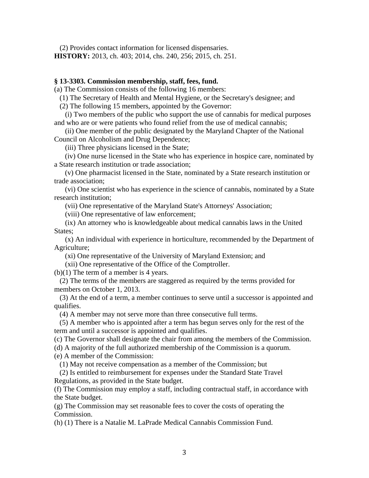(2) Provides contact information for licensed dispensaries. **HISTORY:** 2013, ch. 403; 2014, chs. 240, 256; 2015, ch. 251.

#### **§ 13-3303. Commission membership, staff, fees, fund.**

(a) The Commission consists of the following 16 members:

(1) The Secretary of Health and Mental Hygiene, or the Secretary's designee; and

(2) The following 15 members, appointed by the Governor:

 (i) Two members of the public who support the use of cannabis for medical purposes and who are or were patients who found relief from the use of medical cannabis;

 (ii) One member of the public designated by the Maryland Chapter of the National Council on Alcoholism and Drug Dependence;

(iii) Three physicians licensed in the State;

 (iv) One nurse licensed in the State who has experience in hospice care, nominated by a State research institution or trade association;

 (v) One pharmacist licensed in the State, nominated by a State research institution or trade association;

 (vi) One scientist who has experience in the science of cannabis, nominated by a State research institution;

(vii) One representative of the Maryland State's Attorneys' Association;

(viii) One representative of law enforcement;

 (ix) An attorney who is knowledgeable about medical cannabis laws in the United States;

 (x) An individual with experience in horticulture, recommended by the Department of Agriculture;

(xi) One representative of the University of Maryland Extension; and

(xii) One representative of the Office of the Comptroller.

(b)(1) The term of a member is 4 years.

 (2) The terms of the members are staggered as required by the terms provided for members on October 1, 2013.

 (3) At the end of a term, a member continues to serve until a successor is appointed and qualifies.

(4) A member may not serve more than three consecutive full terms.

 (5) A member who is appointed after a term has begun serves only for the rest of the term and until a successor is appointed and qualifies.

(c) The Governor shall designate the chair from among the members of the Commission.

(d) A majority of the full authorized membership of the Commission is a quorum.

(e) A member of the Commission:

(1) May not receive compensation as a member of the Commission; but

 (2) Is entitled to reimbursement for expenses under the Standard State Travel Regulations, as provided in the State budget.

(f) The Commission may employ a staff, including contractual staff, in accordance with the State budget.

(g) The Commission may set reasonable fees to cover the costs of operating the Commission.

(h) (1) There is a Natalie M. LaPrade Medical Cannabis Commission Fund.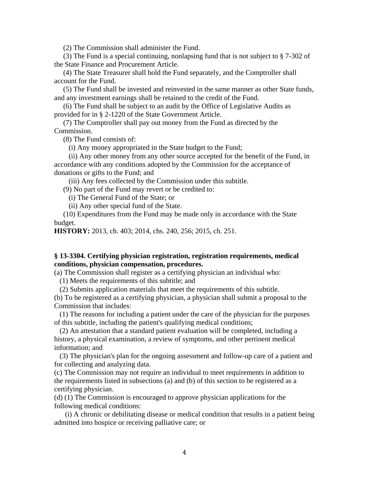(2) The Commission shall administer the Fund.

 (3) The Fund is a special continuing, nonlapsing fund that is not subject to § 7-302 of the State Finance and Procurement Article.

 (4) The State Treasurer shall hold the Fund separately, and the Comptroller shall account for the Fund.

 (5) The Fund shall be invested and reinvested in the same manner as other State funds, and any investment earnings shall be retained to the credit of the Fund.

 (6) The Fund shall be subject to an audit by the Office of Legislative Audits as provided for in § 2-1220 of the State Government Article.

 (7) The Comptroller shall pay out money from the Fund as directed by the Commission.

(8) The Fund consists of:

(i) Any money appropriated in the State budget to the Fund;

 (ii) Any other money from any other source accepted for the benefit of the Fund, in accordance with any conditions adopted by the Commission for the acceptance of donations or gifts to the Fund; and

(iii) Any fees collected by the Commission under this subtitle.

(9) No part of the Fund may revert or be credited to:

(i) The General Fund of the State; or

(ii) Any other special fund of the State.

 (10) Expenditures from the Fund may be made only in accordance with the State budget.

**HISTORY:** 2013, ch. 403; 2014, chs. 240, 256; 2015, ch. 251.

### **§ 13-3304. Certifying physician registration, registration requirements, medical conditions, physician compensation, procedures.**

(a) The Commission shall register as a certifying physician an individual who:

(1) Meets the requirements of this subtitle; and

(2) Submits application materials that meet the requirements of this subtitle.

(b) To be registered as a certifying physician, a physician shall submit a proposal to the Commission that includes:

 (1) The reasons for including a patient under the care of the physician for the purposes of this subtitle, including the patient's qualifying medical conditions;

 (2) An attestation that a standard patient evaluation will be completed, including a history, a physical examination, a review of symptoms, and other pertinent medical information; and

 (3) The physician's plan for the ongoing assessment and follow-up care of a patient and for collecting and analyzing data.

(c) The Commission may not require an individual to meet requirements in addition to the requirements listed in subsections (a) and (b) of this section to be registered as a certifying physician.

(d) (1) The Commission is encouraged to approve physician applications for the following medical conditions:

 (i) A chronic or debilitating disease or medical condition that results in a patient being admitted into hospice or receiving palliative care; or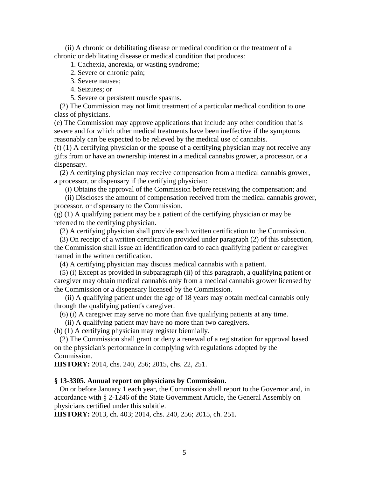(ii) A chronic or debilitating disease or medical condition or the treatment of a chronic or debilitating disease or medical condition that produces:

1. Cachexia, anorexia, or wasting syndrome;

2. Severe or chronic pain;

3. Severe nausea;

4. Seizures; or

5. Severe or persistent muscle spasms.

 (2) The Commission may not limit treatment of a particular medical condition to one class of physicians.

(e) The Commission may approve applications that include any other condition that is severe and for which other medical treatments have been ineffective if the symptoms reasonably can be expected to be relieved by the medical use of cannabis.

(f) (1) A certifying physician or the spouse of a certifying physician may not receive any gifts from or have an ownership interest in a medical cannabis grower, a processor, or a dispensary.

 (2) A certifying physician may receive compensation from a medical cannabis grower, a processor, or dispensary if the certifying physician:

(i) Obtains the approval of the Commission before receiving the compensation; and

 (ii) Discloses the amount of compensation received from the medical cannabis grower, processor, or dispensary to the Commission.

(g) (1) A qualifying patient may be a patient of the certifying physician or may be referred to the certifying physician.

(2) A certifying physician shall provide each written certification to the Commission.

 (3) On receipt of a written certification provided under paragraph (2) of this subsection, the Commission shall issue an identification card to each qualifying patient or caregiver named in the written certification.

(4) A certifying physician may discuss medical cannabis with a patient.

 (5) (i) Except as provided in subparagraph (ii) of this paragraph, a qualifying patient or caregiver may obtain medical cannabis only from a medical cannabis grower licensed by the Commission or a dispensary licensed by the Commission.

 (ii) A qualifying patient under the age of 18 years may obtain medical cannabis only through the qualifying patient's caregiver.

(6) (i) A caregiver may serve no more than five qualifying patients at any time.

(ii) A qualifying patient may have no more than two caregivers.

(h) (1) A certifying physician may register biennially.

 (2) The Commission shall grant or deny a renewal of a registration for approval based on the physician's performance in complying with regulations adopted by the Commission.

**HISTORY:** 2014, chs. 240, 256; 2015, chs. 22, 251.

#### **§ 13-3305. Annual report on physicians by Commission.**

 On or before January 1 each year, the Commission shall report to the Governor and, in accordance with § 2-1246 of the State Government Article, the General Assembly on physicians certified under this subtitle.

**HISTORY:** 2013, ch. 403; 2014, chs. 240, 256; 2015, ch. 251.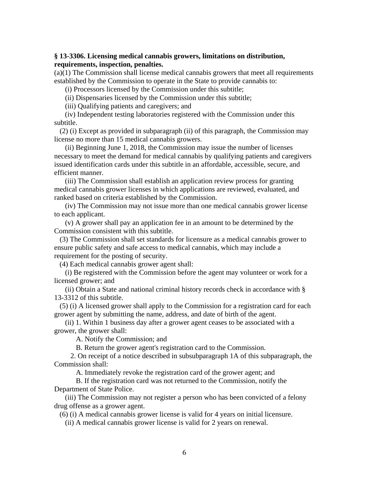### **§ 13-3306. Licensing medical cannabis growers, limitations on distribution, requirements, inspection, penalties.**

(a)(1) The Commission shall license medical cannabis growers that meet all requirements established by the Commission to operate in the State to provide cannabis to:

(i) Processors licensed by the Commission under this subtitle;

(ii) Dispensaries licensed by the Commission under this subtitle;

(iii) Qualifying patients and caregivers; and

 (iv) Independent testing laboratories registered with the Commission under this subtitle.

 (2) (i) Except as provided in subparagraph (ii) of this paragraph, the Commission may license no more than 15 medical cannabis growers.

 (ii) Beginning June 1, 2018, the Commission may issue the number of licenses necessary to meet the demand for medical cannabis by qualifying patients and caregivers issued identification cards under this subtitle in an affordable, accessible, secure, and efficient manner.

 (iii) The Commission shall establish an application review process for granting medical cannabis grower licenses in which applications are reviewed, evaluated, and ranked based on criteria established by the Commission.

 (iv) The Commission may not issue more than one medical cannabis grower license to each applicant.

 (v) A grower shall pay an application fee in an amount to be determined by the Commission consistent with this subtitle.

 (3) The Commission shall set standards for licensure as a medical cannabis grower to ensure public safety and safe access to medical cannabis, which may include a requirement for the posting of security.

(4) Each medical cannabis grower agent shall:

 (i) Be registered with the Commission before the agent may volunteer or work for a licensed grower; and

 (ii) Obtain a State and national criminal history records check in accordance with § 13-3312 of this subtitle.

 (5) (i) A licensed grower shall apply to the Commission for a registration card for each grower agent by submitting the name, address, and date of birth of the agent.

 (ii) 1. Within 1 business day after a grower agent ceases to be associated with a grower, the grower shall:

A. Notify the Commission; and

B. Return the grower agent's registration card to the Commission.

 2. On receipt of a notice described in subsubparagraph 1A of this subparagraph, the Commission shall:

A. Immediately revoke the registration card of the grower agent; and

 B. If the registration card was not returned to the Commission, notify the Department of State Police.

 (iii) The Commission may not register a person who has been convicted of a felony drug offense as a grower agent.

(6) (i) A medical cannabis grower license is valid for 4 years on initial licensure.

(ii) A medical cannabis grower license is valid for 2 years on renewal.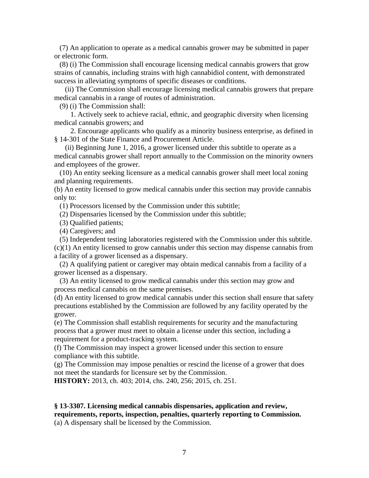(7) An application to operate as a medical cannabis grower may be submitted in paper or electronic form.

 (8) (i) The Commission shall encourage licensing medical cannabis growers that grow strains of cannabis, including strains with high cannabidiol content, with demonstrated success in alleviating symptoms of specific diseases or conditions.

 (ii) The Commission shall encourage licensing medical cannabis growers that prepare medical cannabis in a range of routes of administration.

(9) (i) The Commission shall:

 1. Actively seek to achieve racial, ethnic, and geographic diversity when licensing medical cannabis growers; and

 2. Encourage applicants who qualify as a minority business enterprise, as defined in § 14-301 of the State Finance and Procurement Article.

 (ii) Beginning June 1, 2016, a grower licensed under this subtitle to operate as a medical cannabis grower shall report annually to the Commission on the minority owners and employees of the grower.

 (10) An entity seeking licensure as a medical cannabis grower shall meet local zoning and planning requirements.

(b) An entity licensed to grow medical cannabis under this section may provide cannabis only to:

(1) Processors licensed by the Commission under this subtitle;

(2) Dispensaries licensed by the Commission under this subtitle;

(3) Qualified patients;

(4) Caregivers; and

 (5) Independent testing laboratories registered with the Commission under this subtitle. (c)(1) An entity licensed to grow cannabis under this section may dispense cannabis from a facility of a grower licensed as a dispensary.

 (2) A qualifying patient or caregiver may obtain medical cannabis from a facility of a grower licensed as a dispensary.

 (3) An entity licensed to grow medical cannabis under this section may grow and process medical cannabis on the same premises.

(d) An entity licensed to grow medical cannabis under this section shall ensure that safety precautions established by the Commission are followed by any facility operated by the grower.

(e) The Commission shall establish requirements for security and the manufacturing process that a grower must meet to obtain a license under this section, including a requirement for a product-tracking system.

(f) The Commission may inspect a grower licensed under this section to ensure compliance with this subtitle.

(g) The Commission may impose penalties or rescind the license of a grower that does not meet the standards for licensure set by the Commission.

**HISTORY:** 2013, ch. 403; 2014, chs. 240, 256; 2015, ch. 251.

# **§ 13-3307. Licensing medical cannabis dispensaries, application and review, requirements, reports, inspection, penalties, quarterly reporting to Commission.**

(a) A dispensary shall be licensed by the Commission.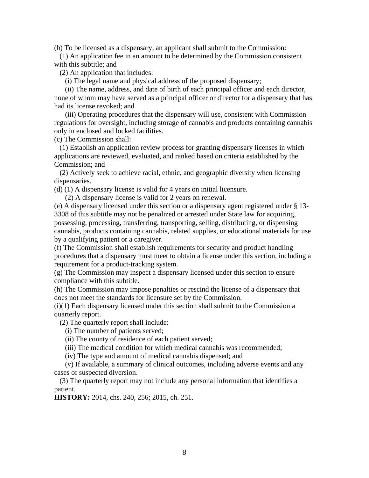(b) To be licensed as a dispensary, an applicant shall submit to the Commission:

 (1) An application fee in an amount to be determined by the Commission consistent with this subtitle; and

(2) An application that includes:

(i) The legal name and physical address of the proposed dispensary;

 (ii) The name, address, and date of birth of each principal officer and each director, none of whom may have served as a principal officer or director for a dispensary that has had its license revoked; and

 (iii) Operating procedures that the dispensary will use, consistent with Commission regulations for oversight, including storage of cannabis and products containing cannabis only in enclosed and locked facilities.

(c) The Commission shall:

 (1) Establish an application review process for granting dispensary licenses in which applications are reviewed, evaluated, and ranked based on criteria established by the Commission; and

 (2) Actively seek to achieve racial, ethnic, and geographic diversity when licensing dispensaries.

(d) (1) A dispensary license is valid for 4 years on initial licensure.

(2) A dispensary license is valid for 2 years on renewal.

(e) A dispensary licensed under this section or a dispensary agent registered under § 13- 3308 of this subtitle may not be penalized or arrested under State law for acquiring, possessing, processing, transferring, transporting, selling, distributing, or dispensing cannabis, products containing cannabis, related supplies, or educational materials for use by a qualifying patient or a caregiver.

(f) The Commission shall establish requirements for security and product handling procedures that a dispensary must meet to obtain a license under this section, including a requirement for a product-tracking system.

(g) The Commission may inspect a dispensary licensed under this section to ensure compliance with this subtitle.

(h) The Commission may impose penalties or rescind the license of a dispensary that does not meet the standards for licensure set by the Commission.

(i)(1) Each dispensary licensed under this section shall submit to the Commission a quarterly report.

(2) The quarterly report shall include:

(i) The number of patients served;

(ii) The county of residence of each patient served;

(iii) The medical condition for which medical cannabis was recommended;

(iv) The type and amount of medical cannabis dispensed; and

 (v) If available, a summary of clinical outcomes, including adverse events and any cases of suspected diversion.

 (3) The quarterly report may not include any personal information that identifies a patient.

**HISTORY:** 2014, chs. 240, 256; 2015, ch. 251.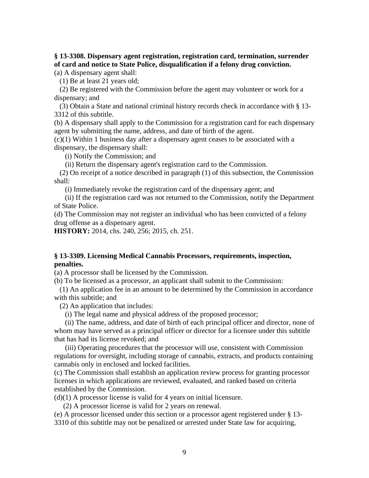### **§ 13-3308. Dispensary agent registration, registration card, termination, surrender of card and notice to State Police, disqualification if a felony drug conviction.**

(a) A dispensary agent shall:

(1) Be at least 21 years old;

 (2) Be registered with the Commission before the agent may volunteer or work for a dispensary; and

 (3) Obtain a State and national criminal history records check in accordance with § 13- 3312 of this subtitle.

(b) A dispensary shall apply to the Commission for a registration card for each dispensary agent by submitting the name, address, and date of birth of the agent.

(c)(1) Within 1 business day after a dispensary agent ceases to be associated with a dispensary, the dispensary shall:

(i) Notify the Commission; and

(ii) Return the dispensary agent's registration card to the Commission.

 (2) On receipt of a notice described in paragraph (1) of this subsection, the Commission shall:

(i) Immediately revoke the registration card of the dispensary agent; and

 (ii) If the registration card was not returned to the Commission, notify the Department of State Police.

(d) The Commission may not register an individual who has been convicted of a felony drug offense as a dispensary agent.

**HISTORY:** 2014, chs. 240, 256; 2015, ch. 251.

#### **§ 13-3309. Licensing Medical Cannabis Processors, requirements, inspection, penalties.**

(a) A processor shall be licensed by the Commission.

(b) To be licensed as a processor, an applicant shall submit to the Commission:

 (1) An application fee in an amount to be determined by the Commission in accordance with this subtitle; and

(2) An application that includes:

(i) The legal name and physical address of the proposed processor;

 (ii) The name, address, and date of birth of each principal officer and director, none of whom may have served as a principal officer or director for a licensee under this subtitle that has had its license revoked; and

 (iii) Operating procedures that the processor will use, consistent with Commission regulations for oversight, including storage of cannabis, extracts, and products containing cannabis only in enclosed and locked facilities.

(c) The Commission shall establish an application review process for granting processor licenses in which applications are reviewed, evaluated, and ranked based on criteria established by the Commission.

 $(d)(1)$  A processor license is valid for 4 years on initial licensure.

(2) A processor license is valid for 2 years on renewal.

(e) A processor licensed under this section or a processor agent registered under § 13-

3310 of this subtitle may not be penalized or arrested under State law for acquiring,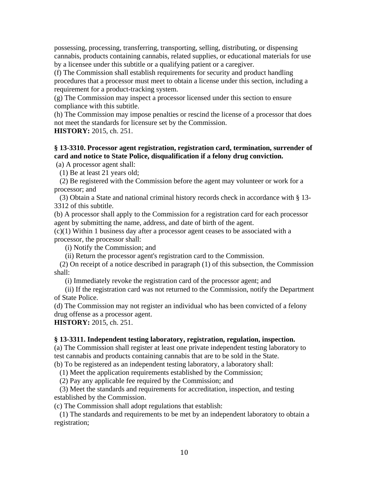possessing, processing, transferring, transporting, selling, distributing, or dispensing cannabis, products containing cannabis, related supplies, or educational materials for use by a licensee under this subtitle or a qualifying patient or a caregiver.

(f) The Commission shall establish requirements for security and product handling procedures that a processor must meet to obtain a license under this section, including a requirement for a product-tracking system.

(g) The Commission may inspect a processor licensed under this section to ensure compliance with this subtitle.

(h) The Commission may impose penalties or rescind the license of a processor that does not meet the standards for licensure set by the Commission.

**HISTORY:** 2015, ch. 251.

### **§ 13-3310. Processor agent registration, registration card, termination, surrender of card and notice to State Police, disqualification if a felony drug conviction.**

(a) A processor agent shall:

(1) Be at least 21 years old;

 (2) Be registered with the Commission before the agent may volunteer or work for a processor; and

 (3) Obtain a State and national criminal history records check in accordance with § 13- 3312 of this subtitle.

(b) A processor shall apply to the Commission for a registration card for each processor agent by submitting the name, address, and date of birth of the agent.

(c)(1) Within 1 business day after a processor agent ceases to be associated with a processor, the processor shall:

(i) Notify the Commission; and

(ii) Return the processor agent's registration card to the Commission.

 (2) On receipt of a notice described in paragraph (1) of this subsection, the Commission shall:

(i) Immediately revoke the registration card of the processor agent; and

 (ii) If the registration card was not returned to the Commission, notify the Department of State Police.

(d) The Commission may not register an individual who has been convicted of a felony drug offense as a processor agent.

**HISTORY:** 2015, ch. 251.

### **§ 13-3311. Independent testing laboratory, registration, regulation, inspection.**

(a) The Commission shall register at least one private independent testing laboratory to test cannabis and products containing cannabis that are to be sold in the State.

(b) To be registered as an independent testing laboratory, a laboratory shall:

(1) Meet the application requirements established by the Commission;

(2) Pay any applicable fee required by the Commission; and

 (3) Meet the standards and requirements for accreditation, inspection, and testing established by the Commission.

(c) The Commission shall adopt regulations that establish:

 (1) The standards and requirements to be met by an independent laboratory to obtain a registration;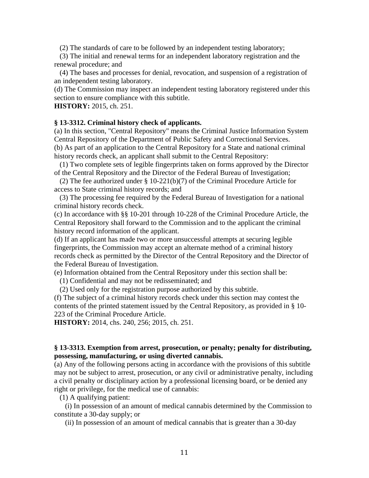(2) The standards of care to be followed by an independent testing laboratory;

 (3) The initial and renewal terms for an independent laboratory registration and the renewal procedure; and

 (4) The bases and processes for denial, revocation, and suspension of a registration of an independent testing laboratory.

(d) The Commission may inspect an independent testing laboratory registered under this section to ensure compliance with this subtitle.

**HISTORY:** 2015, ch. 251.

#### **§ 13-3312. Criminal history check of applicants.**

(a) In this section, "Central Repository" means the Criminal Justice Information System Central Repository of the Department of Public Safety and Correctional Services. (b) As part of an application to the Central Repository for a State and national criminal history records check, an applicant shall submit to the Central Repository:

 (1) Two complete sets of legible fingerprints taken on forms approved by the Director of the Central Repository and the Director of the Federal Bureau of Investigation;

 (2) The fee authorized under § 10-221(b)(7) of the Criminal Procedure Article for access to State criminal history records; and

 (3) The processing fee required by the Federal Bureau of Investigation for a national criminal history records check.

(c) In accordance with §§ 10-201 through 10-228 of the Criminal Procedure Article, the Central Repository shall forward to the Commission and to the applicant the criminal history record information of the applicant.

(d) If an applicant has made two or more unsuccessful attempts at securing legible fingerprints, the Commission may accept an alternate method of a criminal history records check as permitted by the Director of the Central Repository and the Director of the Federal Bureau of Investigation.

(e) Information obtained from the Central Repository under this section shall be:

(1) Confidential and may not be redisseminated; and

(2) Used only for the registration purpose authorized by this subtitle.

(f) The subject of a criminal history records check under this section may contest the contents of the printed statement issued by the Central Repository, as provided in § 10- 223 of the Criminal Procedure Article.

**HISTORY:** 2014, chs. 240, 256; 2015, ch. 251.

#### **§ 13-3313. Exemption from arrest, prosecution, or penalty; penalty for distributing, possessing, manufacturing, or using diverted cannabis.**

(a) Any of the following persons acting in accordance with the provisions of this subtitle may not be subject to arrest, prosecution, or any civil or administrative penalty, including a civil penalty or disciplinary action by a professional licensing board, or be denied any right or privilege, for the medical use of cannabis:

(1) A qualifying patient:

 (i) In possession of an amount of medical cannabis determined by the Commission to constitute a 30-day supply; or

(ii) In possession of an amount of medical cannabis that is greater than a 30-day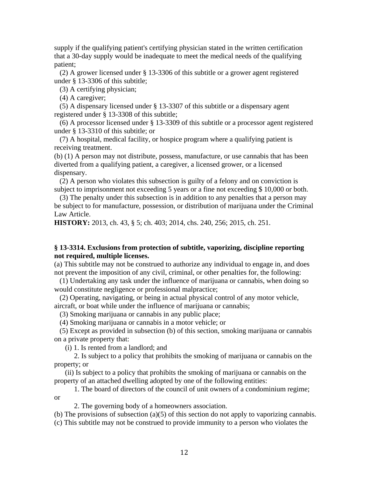supply if the qualifying patient's certifying physician stated in the written certification that a 30-day supply would be inadequate to meet the medical needs of the qualifying patient;

 (2) A grower licensed under § 13-3306 of this subtitle or a grower agent registered under § 13-3306 of this subtitle;

(3) A certifying physician;

(4) A caregiver;

 (5) A dispensary licensed under § 13-3307 of this subtitle or a dispensary agent registered under § 13-3308 of this subtitle;

 (6) A processor licensed under § 13-3309 of this subtitle or a processor agent registered under § 13-3310 of this subtitle; or

 (7) A hospital, medical facility, or hospice program where a qualifying patient is receiving treatment.

(b) (1) A person may not distribute, possess, manufacture, or use cannabis that has been diverted from a qualifying patient, a caregiver, a licensed grower, or a licensed dispensary.

 (2) A person who violates this subsection is guilty of a felony and on conviction is subject to imprisonment not exceeding 5 years or a fine not exceeding \$10,000 or both.

 (3) The penalty under this subsection is in addition to any penalties that a person may be subject to for manufacture, possession, or distribution of marijuana under the Criminal Law Article.

**HISTORY:** 2013, ch. 43, § 5; ch. 403; 2014, chs. 240, 256; 2015, ch. 251.

### **§ 13-3314. Exclusions from protection of subtitle, vaporizing, discipline reporting not required, multiple licenses.**

(a) This subtitle may not be construed to authorize any individual to engage in, and does not prevent the imposition of any civil, criminal, or other penalties for, the following:

 (1) Undertaking any task under the influence of marijuana or cannabis, when doing so would constitute negligence or professional malpractice;

 (2) Operating, navigating, or being in actual physical control of any motor vehicle, aircraft, or boat while under the influence of marijuana or cannabis;

(3) Smoking marijuana or cannabis in any public place;

(4) Smoking marijuana or cannabis in a motor vehicle; or

 (5) Except as provided in subsection (b) of this section, smoking marijuana or cannabis on a private property that:

(i) 1. Is rented from a landlord; and

 2. Is subject to a policy that prohibits the smoking of marijuana or cannabis on the property; or

 (ii) Is subject to a policy that prohibits the smoking of marijuana or cannabis on the property of an attached dwelling adopted by one of the following entities:

 1. The board of directors of the council of unit owners of a condominium regime; or

2. The governing body of a homeowners association.

(b) The provisions of subsection (a)(5) of this section do not apply to vaporizing cannabis. (c) This subtitle may not be construed to provide immunity to a person who violates the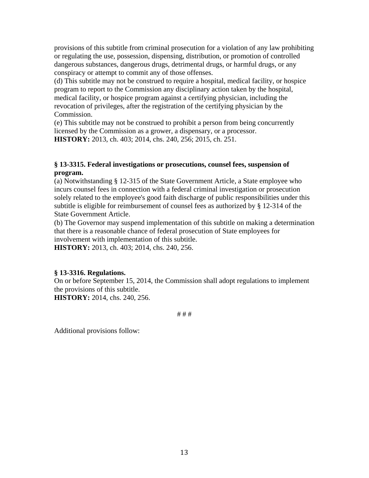provisions of this subtitle from criminal prosecution for a violation of any law prohibiting or regulating the use, possession, dispensing, distribution, or promotion of controlled dangerous substances, dangerous drugs, detrimental drugs, or harmful drugs, or any conspiracy or attempt to commit any of those offenses.

(d) This subtitle may not be construed to require a hospital, medical facility, or hospice program to report to the Commission any disciplinary action taken by the hospital, medical facility, or hospice program against a certifying physician, including the revocation of privileges, after the registration of the certifying physician by the Commission.

(e) This subtitle may not be construed to prohibit a person from being concurrently licensed by the Commission as a grower, a dispensary, or a processor. **HISTORY:** 2013, ch. 403; 2014, chs. 240, 256; 2015, ch. 251.

### **§ 13-3315. Federal investigations or prosecutions, counsel fees, suspension of program.**

(a) Notwithstanding § 12-315 of the State Government Article, a State employee who incurs counsel fees in connection with a federal criminal investigation or prosecution solely related to the employee's good faith discharge of public responsibilities under this subtitle is eligible for reimbursement of counsel fees as authorized by § 12-314 of the State Government Article.

(b) The Governor may suspend implementation of this subtitle on making a determination that there is a reasonable chance of federal prosecution of State employees for involvement with implementation of this subtitle.

**HISTORY:** 2013, ch. 403; 2014, chs. 240, 256.

## **§ 13-3316. Regulations.**

On or before September 15, 2014, the Commission shall adopt regulations to implement the provisions of this subtitle.

**HISTORY:** 2014, chs. 240, 256.

# # #

Additional provisions follow: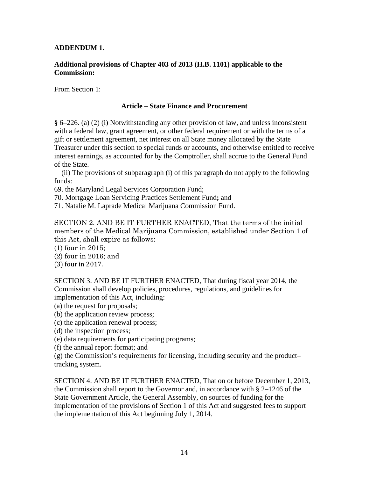### **ADDENDUM 1.**

### **Additional provisions of Chapter 403 of 2013 (H.B. 1101) applicable to the Commission:**

From Section 1:

### **Article – State Finance and Procurement**

**§** 6–226. (a) (2) (i) Notwithstanding any other provision of law, and unless inconsistent with a federal law, grant agreement, or other federal requirement or with the terms of a gift or settlement agreement, net interest on all State money allocated by the State Treasurer under this section to special funds or accounts, and otherwise entitled to receive interest earnings, as accounted for by the Comptroller, shall accrue to the General Fund of the State.

 (ii) The provisions of subparagraph (i) of this paragraph do not apply to the following funds:

69. the Maryland Legal Services Corporation Fund;

70. Mortgage Loan Servicing Practices Settlement Fund**;** and

71. Natalie M. Laprade Medical Marijuana Commission Fund.

SECTION 2. AND BE IT FURTHER ENACTED, That the terms of the initial members of the Medical Marijuana Commission, established under Section 1 of this Act, shall expire as follows:

- (1) four in 2015;
- (2) four in 2016; and
- (3) four in 2017.

SECTION 3. AND BE IT FURTHER ENACTED, That during fiscal year 2014, the Commission shall develop policies, procedures, regulations, and guidelines for implementation of this Act, including:

- (a) the request for proposals;
- (b) the application review process;
- (c) the application renewal process;
- (d) the inspection process;
- (e) data requirements for participating programs;
- (f) the annual report format; and

(g) the Commission's requirements for licensing, including security and the product– tracking system.

SECTION 4. AND BE IT FURTHER ENACTED, That on or before December 1, 2013, the Commission shall report to the Governor and, in accordance with § 2–1246 of the State Government Article, the General Assembly, on sources of funding for the implementation of the provisions of Section 1 of this Act and suggested fees to support the implementation of this Act beginning July 1, 2014.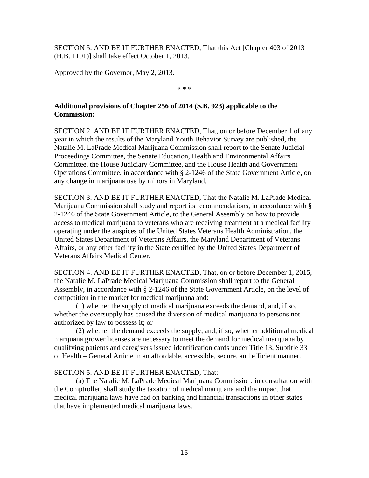SECTION 5. AND BE IT FURTHER ENACTED, That this Act [Chapter 403 of 2013 (H.B. 1101)] shall take effect October 1, 2013.

Approved by the Governor, May 2, 2013.

\* \* \*

### **Additional provisions of Chapter 256 of 2014 (S.B. 923) applicable to the Commission:**

SECTION 2. AND BE IT FURTHER ENACTED, That, on or before December 1 of any year in which the results of the Maryland Youth Behavior Survey are published, the Natalie M. LaPrade Medical Marijuana Commission shall report to the Senate Judicial Proceedings Committee, the Senate Education, Health and Environmental Affairs Committee, the House Judiciary Committee, and the House Health and Government Operations Committee, in accordance with § 2-1246 of the State Government Article, on any change in marijuana use by minors in Maryland.

SECTION 3. AND BE IT FURTHER ENACTED, That the Natalie M. LaPrade Medical Marijuana Commission shall study and report its recommendations, in accordance with § 2-1246 of the State Government Article, to the General Assembly on how to provide access to medical marijuana to veterans who are receiving treatment at a medical facility operating under the auspices of the United States Veterans Health Administration, the United States Department of Veterans Affairs, the Maryland Department of Veterans Affairs, or any other facility in the State certified by the United States Department of Veterans Affairs Medical Center.

SECTION 4. AND BE IT FURTHER ENACTED, That, on or before December 1, 2015, the Natalie M. LaPrade Medical Marijuana Commission shall report to the General Assembly, in accordance with § 2-1246 of the State Government Article, on the level of competition in the market for medical marijuana and:

 (1) whether the supply of medical marijuana exceeds the demand, and, if so, whether the oversupply has caused the diversion of medical marijuana to persons not authorized by law to possess it; or

 (2) whether the demand exceeds the supply, and, if so, whether additional medical marijuana grower licenses are necessary to meet the demand for medical marijuana by qualifying patients and caregivers issued identification cards under Title 13, Subtitle 33 of Health – General Article in an affordable, accessible, secure, and efficient manner.

### SECTION 5. AND BE IT FURTHER ENACTED, That:

 (a) The Natalie M. LaPrade Medical Marijuana Commission, in consultation with the Comptroller, shall study the taxation of medical marijuana and the impact that medical marijuana laws have had on banking and financial transactions in other states that have implemented medical marijuana laws.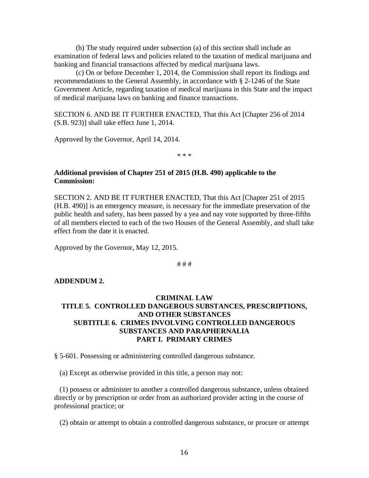(b) The study required under subsection (a) of this section shall include an examination of federal laws and policies related to the taxation of medical marijuana and banking and financial transactions affected by medical marijuana laws.

 (c) On or before December 1, 2014, the Commission shall report its findings and recommendations to the General Assembly, in accordance with § 2-1246 of the State Government Article, regarding taxation of medical marijuana in this State and the impact of medical marijuana laws on banking and finance transactions.

SECTION 6. AND BE IT FURTHER ENACTED, That this Act [Chapter 256 of 2014 (S.B. 923)] shall take effect June 1, 2014.

Approved by the Governor, April 14, 2014.

\* \* \*

### **Additional provision of Chapter 251 of 2015 (H.B. 490) applicable to the Commission:**

SECTION 2. AND BE IT FURTHER ENACTED, That this Act [Chapter 251 of 2015 (H.B. 490)] is an emergency measure, is necessary for the immediate preservation of the public health and safety, has been passed by a yea and nay vote supported by three-fifths of all members elected to each of the two Houses of the General Assembly, and shall take effect from the date it is enacted.

Approved by the Governor, May 12, 2015.

# # #

### **ADDENDUM 2.**

### **CRIMINAL LAW TITLE 5. CONTROLLED DANGEROUS SUBSTANCES, PRESCRIPTIONS, AND OTHER SUBSTANCES SUBTITLE 6. CRIMES INVOLVING CONTROLLED DANGEROUS SUBSTANCES AND PARAPHERNALIA PART I. PRIMARY CRIMES**

§ 5-601. Possessing or administering controlled dangerous substance.

(a) Except as otherwise provided in this title, a person may not:

 (1) possess or administer to another a controlled dangerous substance, unless obtained directly or by prescription or order from an authorized provider acting in the course of professional practice; or

(2) obtain or attempt to obtain a controlled dangerous substance, or procure or attempt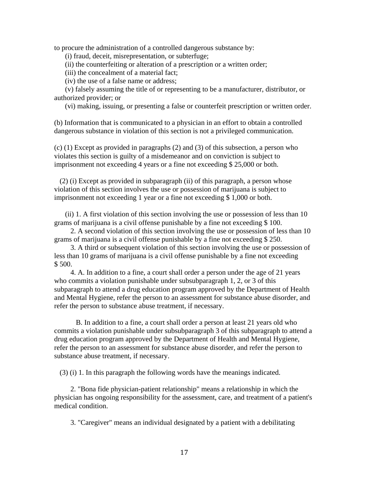to procure the administration of a controlled dangerous substance by:

(i) fraud, deceit, misrepresentation, or subterfuge;

(ii) the counterfeiting or alteration of a prescription or a written order;

(iii) the concealment of a material fact;

(iv) the use of a false name or address;

 (v) falsely assuming the title of or representing to be a manufacturer, distributor, or authorized provider; or

(vi) making, issuing, or presenting a false or counterfeit prescription or written order.

(b) Information that is communicated to a physician in an effort to obtain a controlled dangerous substance in violation of this section is not a privileged communication.

(c) (1) Except as provided in paragraphs (2) and (3) of this subsection, a person who violates this section is guilty of a misdemeanor and on conviction is subject to imprisonment not exceeding 4 years or a fine not exceeding \$ 25,000 or both.

 (2) (i) Except as provided in subparagraph (ii) of this paragraph, a person whose violation of this section involves the use or possession of marijuana is subject to imprisonment not exceeding 1 year or a fine not exceeding \$ 1,000 or both.

 (ii) 1. A first violation of this section involving the use or possession of less than 10 grams of marijuana is a civil offense punishable by a fine not exceeding \$ 100.

 2. A second violation of this section involving the use or possession of less than 10 grams of marijuana is a civil offense punishable by a fine not exceeding \$ 250.

 3. A third or subsequent violation of this section involving the use or possession of less than 10 grams of marijuana is a civil offense punishable by a fine not exceeding \$ 500.

 4. A. In addition to a fine, a court shall order a person under the age of 21 years who commits a violation punishable under subsubparagraph 1, 2, or 3 of this subparagraph to attend a drug education program approved by the Department of Health and Mental Hygiene, refer the person to an assessment for substance abuse disorder, and refer the person to substance abuse treatment, if necessary.

 B. In addition to a fine, a court shall order a person at least 21 years old who commits a violation punishable under subsubparagraph 3 of this subparagraph to attend a drug education program approved by the Department of Health and Mental Hygiene, refer the person to an assessment for substance abuse disorder, and refer the person to substance abuse treatment, if necessary.

(3) (i) 1. In this paragraph the following words have the meanings indicated.

 2. "Bona fide physician-patient relationship" means a relationship in which the physician has ongoing responsibility for the assessment, care, and treatment of a patient's medical condition.

3. "Caregiver" means an individual designated by a patient with a debilitating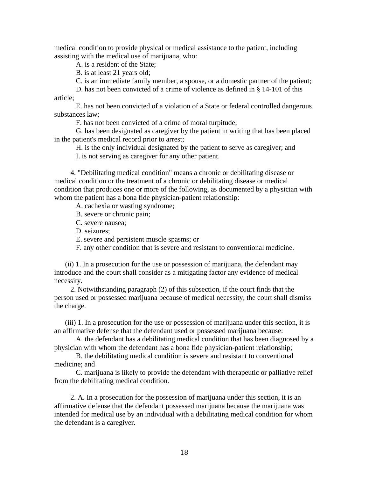medical condition to provide physical or medical assistance to the patient, including assisting with the medical use of marijuana, who:

A. is a resident of the State;

B. is at least 21 years old;

C. is an immediate family member, a spouse, or a domestic partner of the patient;

 D. has not been convicted of a crime of violence as defined in § 14-101 of this article;

 E. has not been convicted of a violation of a State or federal controlled dangerous substances law;

F. has not been convicted of a crime of moral turpitude;

 G. has been designated as caregiver by the patient in writing that has been placed in the patient's medical record prior to arrest;

H. is the only individual designated by the patient to serve as caregiver; and

I. is not serving as caregiver for any other patient.

 4. "Debilitating medical condition" means a chronic or debilitating disease or medical condition or the treatment of a chronic or debilitating disease or medical condition that produces one or more of the following, as documented by a physician with whom the patient has a bona fide physician-patient relationship:

A. cachexia or wasting syndrome;

B. severe or chronic pain;

C. severe nausea;

D. seizures;

E. severe and persistent muscle spasms; or

F. any other condition that is severe and resistant to conventional medicine.

 (ii) 1. In a prosecution for the use or possession of marijuana, the defendant may introduce and the court shall consider as a mitigating factor any evidence of medical necessity.

 2. Notwithstanding paragraph (2) of this subsection, if the court finds that the person used or possessed marijuana because of medical necessity, the court shall dismiss the charge.

 (iii) 1. In a prosecution for the use or possession of marijuana under this section, it is an affirmative defense that the defendant used or possessed marijuana because:

 A. the defendant has a debilitating medical condition that has been diagnosed by a physician with whom the defendant has a bona fide physician-patient relationship;

 B. the debilitating medical condition is severe and resistant to conventional medicine; and

 C. marijuana is likely to provide the defendant with therapeutic or palliative relief from the debilitating medical condition.

 2. A. In a prosecution for the possession of marijuana under this section, it is an affirmative defense that the defendant possessed marijuana because the marijuana was intended for medical use by an individual with a debilitating medical condition for whom the defendant is a caregiver.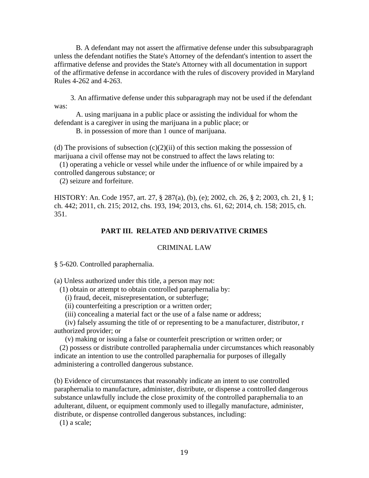B. A defendant may not assert the affirmative defense under this subsubparagraph unless the defendant notifies the State's Attorney of the defendant's intention to assert the affirmative defense and provides the State's Attorney with all documentation in support of the affirmative defense in accordance with the rules of discovery provided in Maryland Rules 4-262 and 4-263.

 3. An affirmative defense under this subparagraph may not be used if the defendant was:

 A. using marijuana in a public place or assisting the individual for whom the defendant is a caregiver in using the marijuana in a public place; or

B. in possession of more than 1 ounce of marijuana.

(d) The provisions of subsection  $(c)(2)(ii)$  of this section making the possession of marijuana a civil offense may not be construed to affect the laws relating to:

 (1) operating a vehicle or vessel while under the influence of or while impaired by a controlled dangerous substance; or

(2) seizure and forfeiture.

HISTORY: An. Code 1957, art. 27, § 287(a), (b), (e); 2002, ch. 26, § 2; 2003, ch. 21, § 1; ch. 442; 2011, ch. 215; 2012, chs. 193, 194; 2013, chs. 61, 62; 2014, ch. 158; 2015, ch. 351.

#### **PART III. RELATED AND DERIVATIVE CRIMES**

#### CRIMINAL LAW

§ 5-620. Controlled paraphernalia.

(a) Unless authorized under this title, a person may not:

(1) obtain or attempt to obtain controlled paraphernalia by:

(i) fraud, deceit, misrepresentation, or subterfuge;

(ii) counterfeiting a prescription or a written order;

(iii) concealing a material fact or the use of a false name or address;

 (iv) falsely assuming the title of or representing to be a manufacturer, distributor, r authorized provider; or

(v) making or issuing a false or counterfeit prescription or written order; or

 (2) possess or distribute controlled paraphernalia under circumstances which reasonably indicate an intention to use the controlled paraphernalia for purposes of illegally administering a controlled dangerous substance.

(b) Evidence of circumstances that reasonably indicate an intent to use controlled paraphernalia to manufacture, administer, distribute, or dispense a controlled dangerous substance unlawfully include the close proximity of the controlled paraphernalia to an adulterant, diluent, or equipment commonly used to illegally manufacture, administer, distribute, or dispense controlled dangerous substances, including:

(1) a scale;